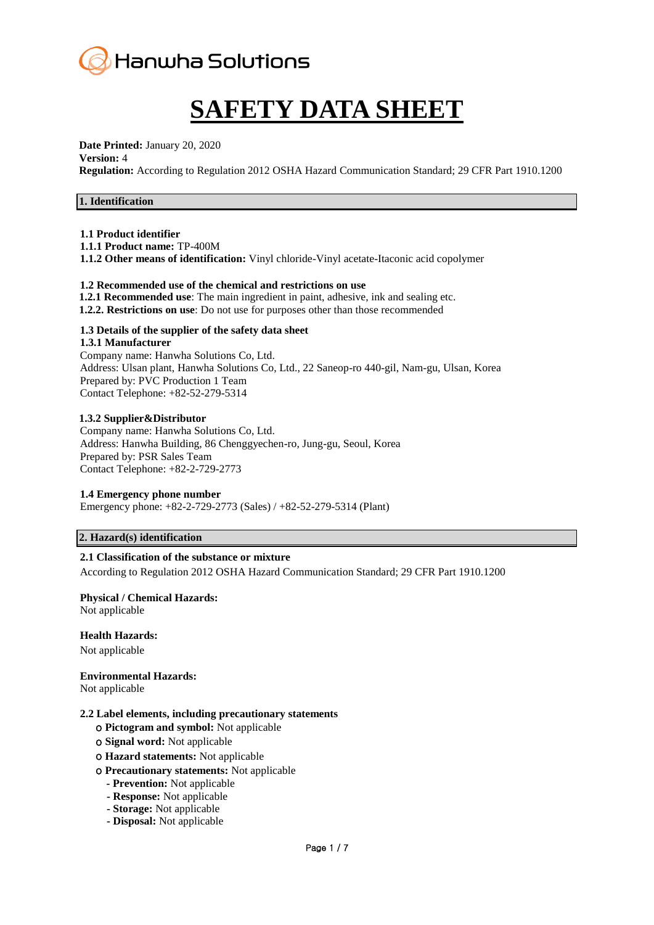

# **SAFETY DATA SHEET**

**Date Printed:** January 20, 2020

#### **Version:** 4

**Regulation:** According to Regulation 2012 OSHA Hazard Communication Standard; 29 CFR Part 1910.1200

## **1. Identification**

#### **1.1 Product identifier**

**1.1.1 Product name:** TP-400M

**1.1.2 Other means of identification:** Vinyl chloride-Vinyl acetate-Itaconic acid copolymer

## **1.2 Recommended use of the chemical and restrictions on use**

- **1.2.1 Recommended use**: The main ingredient in paint, adhesive, ink and sealing etc.
- **1.2.2. Restrictions on use**: Do not use for purposes other than those recommended

# **1.3 Details of the supplier of the safety data sheet**

**1.3.1 Manufacturer** Company name: Hanwha Solutions Co, Ltd. Address: Ulsan plant, Hanwha Solutions Co, Ltd., 22 Saneop-ro 440-gil, Nam-gu, Ulsan, Korea Prepared by: PVC Production 1 Team Contact Telephone: +82-52-279-5314

#### **1.3.2 Supplier&Distributor**

Company name: Hanwha Solutions Co, Ltd. Address: Hanwha Building, 86 Chenggyechen-ro, Jung-gu, Seoul, Korea Prepared by: PSR Sales Team Contact Telephone: +82-2-729-2773

## **1.4 Emergency phone number**

Emergency phone: +82-2-729-2773 (Sales) / +82-52-279-5314 (Plant)

## **2. Hazard(s) identification**

## **2.1 Classification of the substance or mixture**

According to Regulation 2012 OSHA Hazard Communication Standard; 29 CFR Part 1910.1200

## **Physical / Chemical Hazards:**

Not applicable

## **Health Hazards:**

Not applicable

## **Environmental Hazards:**

Not applicable

## **2.2 Label elements, including precautionary statements**

- ο **Pictogram and symbol:** Not applicable
- ο **Signal word:** Not applicable
- ο **Hazard statements:** Not applicable

#### ο **Precautionary statements:** Not applicable

- **- Prevention:** Not applicable
- **- Response:** Not applicable
- **- Storage:** Not applicable
- **- Disposal:** Not applicable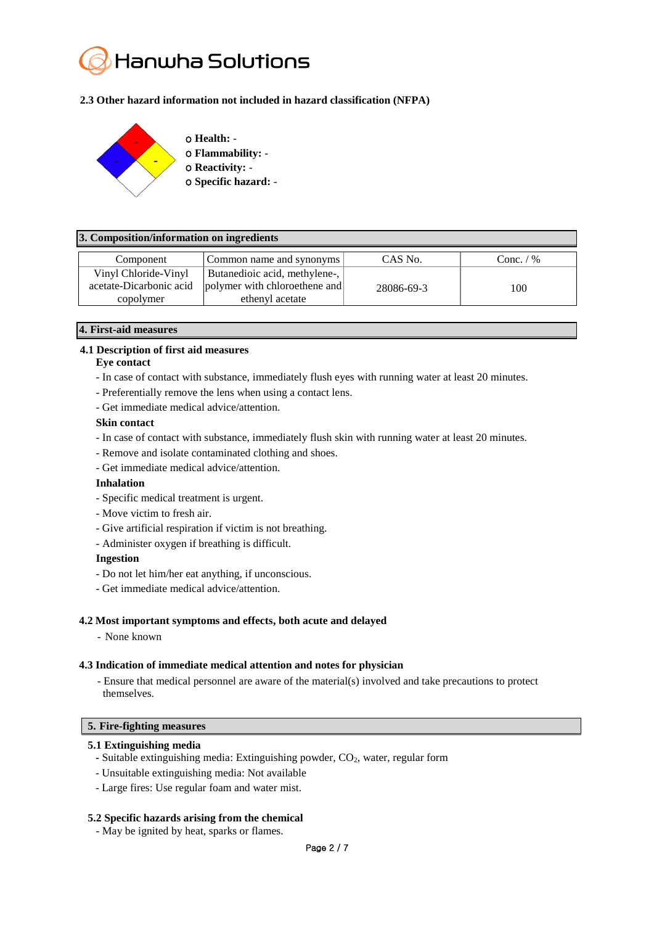

## **2.3 Other hazard information not included in hazard classification (NFPA)**



#### **3. Composition/information on ingredients**

| Component               | Common name and synonyms      | CAS No.    | Conc. $/$ % |
|-------------------------|-------------------------------|------------|-------------|
| Vinyl Chloride-Vinyl    | Butanedioic acid, methylene-, |            |             |
| acetate-Dicarbonic acid | polymer with chloroethene and | 28086-69-3 | 100         |
| copolymer               | ethenyl acetate               |            |             |

#### **4. First-aid measures**

## **4.1 Description of first aid measures**

#### **Eye contact**

- In case of contact with substance, immediately flush eyes with running water at least 20 minutes.
- Preferentially remove the lens when using a contact lens.
- Get immediate medical advice/attention.

#### **Skin contact**

- In case of contact with substance, immediately flush skin with running water at least 20 minutes.
- Remove and isolate contaminated clothing and shoes.
- Get immediate medical advice/attention.

#### **Inhalation**

- Specific medical treatment is urgent.
- Move victim to fresh air.
- Give artificial respiration if victim is not breathing.
- Administer oxygen if breathing is difficult.

#### **Ingestion**

- Do not let him/her eat anything, if unconscious.
- Get immediate medical advice/attention.

#### **4.2 Most important symptoms and effects, both acute and delayed**

- None known

#### **4.3 Indication of immediate medical attention and notes for physician**

- Ensure that medical personnel are aware of the material(s) involved and take precautions to protect themselves.

## **5. Fire-fighting measures**

#### **5.1 Extinguishing media**

- **-** Suitable extinguishing media: Extinguishing powder, CO2, water, regular form
- Unsuitable extinguishing media: Not available
- Large fires: Use regular foam and water mist.

#### **5.2 Specific hazards arising from the chemical**

- May be ignited by heat, sparks or flames.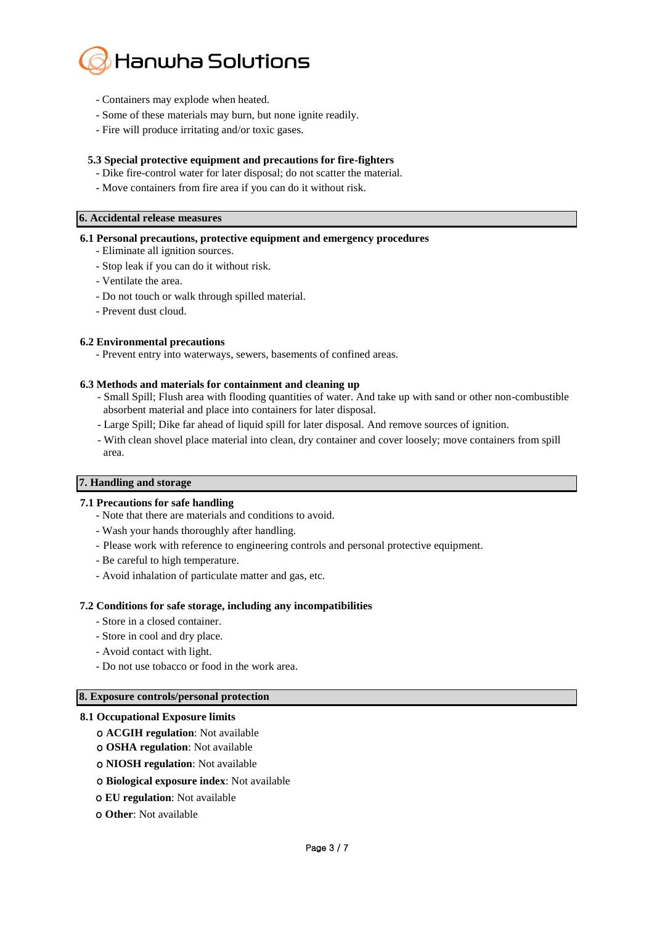

- Containers may explode when heated.
- Some of these materials may burn, but none ignite readily.
- Fire will produce irritating and/or toxic gases.

## **5.3 Special protective equipment and precautions for fire-fighters**

- Dike fire-control water for later disposal; do not scatter the material.
- Move containers from fire area if you can do it without risk.

#### **6. Accidental release measures**

#### **6.1 Personal precautions, protective equipment and emergency procedures**

- Eliminate all ignition sources.
- Stop leak if you can do it without risk.
- Ventilate the area.
- Do not touch or walk through spilled material.
- Prevent dust cloud.

#### **6.2 Environmental precautions**

- Prevent entry into waterways, sewers, basements of confined areas.

#### **6.3 Methods and materials for containment and cleaning up**

- Small Spill; Flush area with flooding quantities of water. And take up with sand or other non-combustible absorbent material and place into containers for later disposal.
- Large Spill; Dike far ahead of liquid spill for later disposal. And remove sources of ignition.
- With clean shovel place material into clean, dry container and cover loosely; move containers from spill area.

#### **7. Handling and storage**

#### **7.1 Precautions for safe handling**

- Note that there are materials and conditions to avoid.
- Wash your hands thoroughly after handling.
- Please work with reference to engineering controls and personal protective equipment.
- Be careful to high temperature.
- Avoid inhalation of particulate matter and gas, etc.

#### **7.2 Conditions for safe storage, including any incompatibilities**

- Store in a closed container.
- Store in cool and dry place.
- Avoid contact with light.
- Do not use tobacco or food in the work area.

#### **8. Exposure controls/personal protection**

#### **8.1 Occupational Exposure limits**

- ο **ACGIH regulation**: Not available
- ο **OSHA regulation**: Not available
- ο **NIOSH regulation**: Not available
- ο **Biological exposure index**: Not available
- ο **EU regulation**: Not available
- ο **Other**: Not available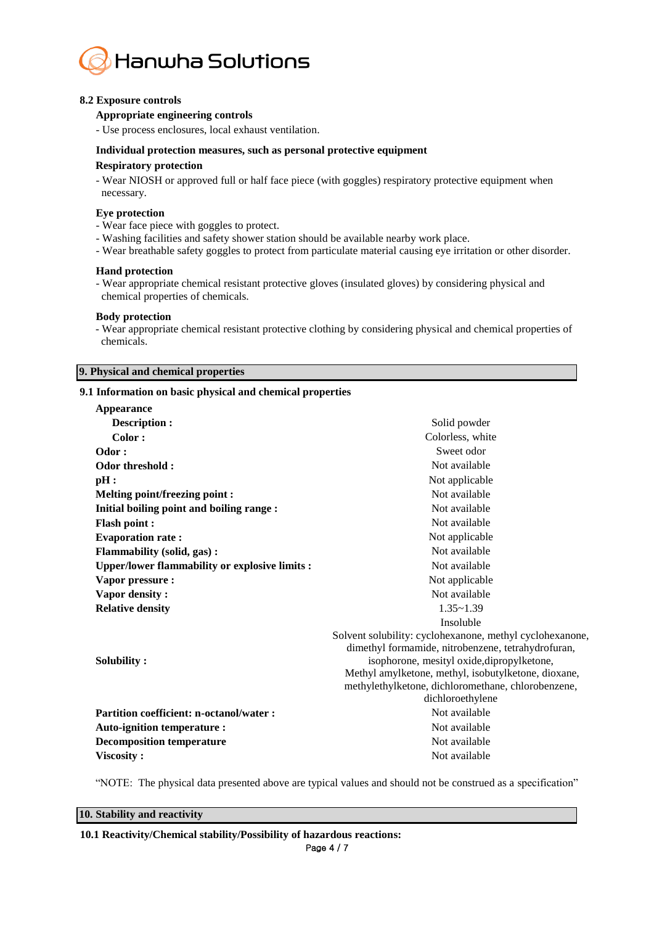

## **8.2 Exposure controls**

## **Appropriate engineering controls**

- Use process enclosures, local exhaust ventilation.

## **Individual protection measures, such as personal protective equipment**

#### **Respiratory protection**

- Wear NIOSH or approved full or half face piece (with goggles) respiratory protective equipment when necessary.

#### **Eye protection**

- Wear face piece with goggles to protect.

- Washing facilities and safety shower station should be available nearby work place.
- Wear breathable safety goggles to protect from particulate material causing eye irritation or other disorder.

#### **Hand protection**

- Wear appropriate chemical resistant protective gloves (insulated gloves) by considering physical and chemical properties of chemicals.

#### **Body protection**

- Wear appropriate chemical resistant protective clothing by considering physical and chemical properties of chemicals.

## **9. Physical and chemical properties**

## **9.1 Information on basic physical and chemical properties**

| Appearance                                           |                                                          |  |
|------------------------------------------------------|----------------------------------------------------------|--|
| Description :                                        | Solid powder                                             |  |
| Color:                                               | Colorless, white                                         |  |
| Odor:                                                | Sweet odor                                               |  |
| Odor threshold:                                      | Not available                                            |  |
| pH:                                                  | Not applicable                                           |  |
| <b>Melting point/freezing point:</b>                 | Not available                                            |  |
| Initial boiling point and boiling range :            | Not available                                            |  |
| <b>Flash point:</b>                                  | Not available                                            |  |
| <b>Evaporation rate:</b>                             | Not applicable                                           |  |
| <b>Flammability (solid, gas):</b>                    | Not available                                            |  |
| <b>Upper/lower flammability or explosive limits:</b> | Not available                                            |  |
| Vapor pressure :                                     | Not applicable                                           |  |
| Vapor density:                                       | Not available                                            |  |
| <b>Relative density</b>                              | $1.35 - 1.39$                                            |  |
|                                                      | Insoluble                                                |  |
|                                                      | Solvent solubility: cyclohexanone, methyl cyclohexanone, |  |
|                                                      | dimethyl formamide, nitrobenzene, tetrahydrofuran,       |  |
| Solubility:                                          | isophorone, mesityl oxide, dipropylketone,               |  |
|                                                      | Methyl amylketone, methyl, isobutylketone, dioxane,      |  |
|                                                      | methylethylketone, dichloromethane, chlorobenzene,       |  |
|                                                      | dichloroethylene                                         |  |
| <b>Partition coefficient: n-octanol/water:</b>       | Not available                                            |  |
| <b>Auto-ignition temperature:</b>                    | Not available                                            |  |
| <b>Decomposition temperature</b>                     | Not available                                            |  |
| Viscosity:                                           | Not available                                            |  |

"NOTE: The physical data presented above are typical values and should not be construed as a specification"

## **10. Stability and reactivity**

**10.1 Reactivity/Chemical stability/Possibility of hazardous reactions:**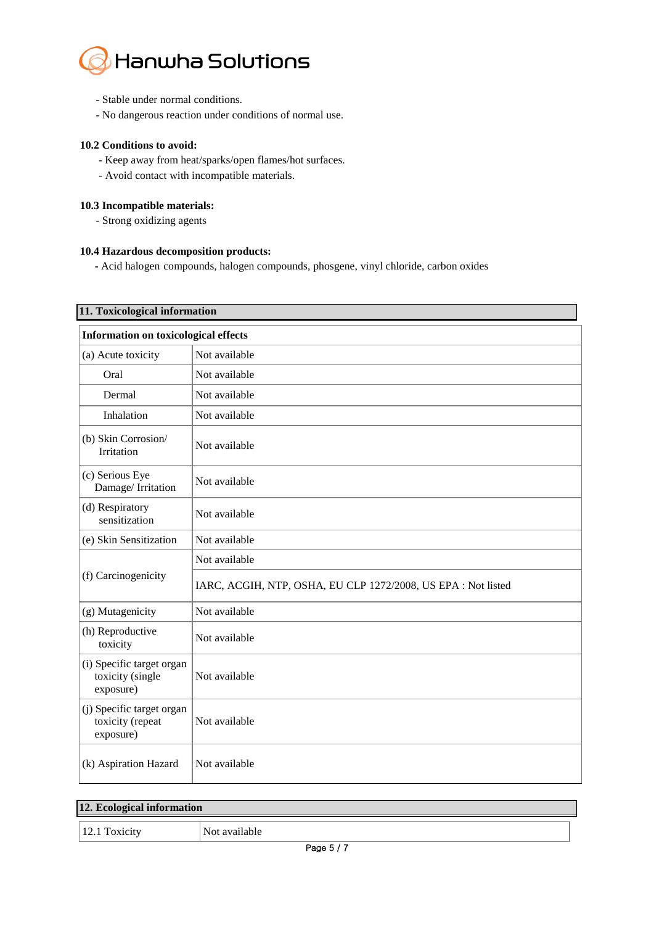

- Stable under normal conditions.
- No dangerous reaction under conditions of normal use.

## **10.2 Conditions to avoid:**

- Keep away from heat/sparks/open flames/hot surfaces.
- Avoid contact with incompatible materials.

## **10.3 Incompatible materials:**

- Strong oxidizing agents

## **10.4 Hazardous decomposition products:**

**-** Acid halogen compounds, halogen compounds, phosgene, vinyl chloride, carbon oxides

# **11. Toxicological information**

| <b>Information on toxicological effects</b>                |                                                               |  |
|------------------------------------------------------------|---------------------------------------------------------------|--|
| (a) Acute toxicity                                         | Not available                                                 |  |
| Oral                                                       | Not available                                                 |  |
| Dermal                                                     | Not available                                                 |  |
| Inhalation                                                 | Not available                                                 |  |
| (b) Skin Corrosion/<br>Irritation                          | Not available                                                 |  |
| (c) Serious Eye<br>Damage/Irritation                       | Not available                                                 |  |
| (d) Respiratory<br>sensitization                           | Not available                                                 |  |
| (e) Skin Sensitization                                     | Not available                                                 |  |
| (f) Carcinogenicity                                        | Not available                                                 |  |
|                                                            | IARC, ACGIH, NTP, OSHA, EU CLP 1272/2008, US EPA : Not listed |  |
| (g) Mutagenicity                                           | Not available                                                 |  |
| (h) Reproductive<br>toxicity                               | Not available                                                 |  |
| (i) Specific target organ<br>toxicity (single<br>exposure) | Not available                                                 |  |
| (j) Specific target organ<br>toxicity (repeat<br>exposure) | Not available                                                 |  |
| (k) Aspiration Hazard                                      | Not available                                                 |  |

| 12. Ecological information |               |  |
|----------------------------|---------------|--|
| 12.1 Toxicity              | Not available |  |
| . <del>.</del>             |               |  |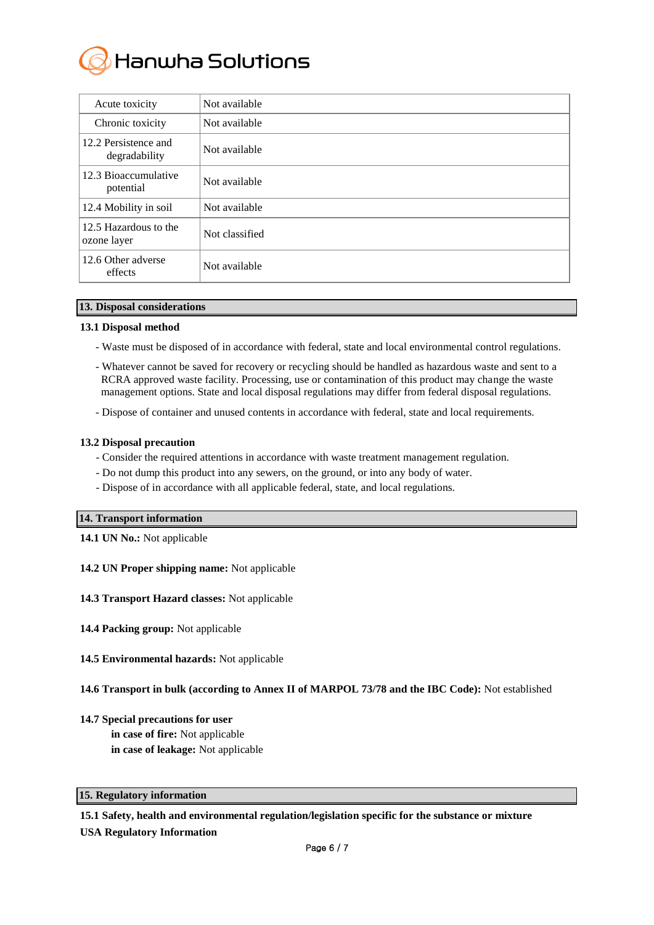

| Acute toxicity                        | Not available  |
|---------------------------------------|----------------|
| Chronic toxicity                      | Not available  |
| 12.2 Persistence and<br>degradability | Not available  |
| 12.3 Bioaccumulative<br>potential     | Not available  |
| 12.4 Mobility in soil                 | Not available  |
| 12.5 Hazardous to the<br>ozone layer  | Not classified |
| 12.6 Other adverse<br>effects         | Not available  |

## **13. Disposal considerations**

## **13.1 Disposal method**

- Waste must be disposed of in accordance with federal, state and local environmental control regulations.
- Whatever cannot be saved for recovery or recycling should be handled as hazardous waste and sent to a RCRA approved waste facility. Processing, use or contamination of this product may change the waste management options. State and local disposal regulations may differ from federal disposal regulations.
- Dispose of container and unused contents in accordance with federal, state and local requirements.

## **13.2 Disposal precaution**

- Consider the required attentions in accordance with waste treatment management regulation.
- Do not dump this product into any sewers, on the ground, or into any body of water.
- Dispose of in accordance with all applicable federal, state, and local regulations.

## **14. Transport information**

- **14.1 UN No.:** Not applicable
- **14.2 UN Proper shipping name:** Not applicable
- **14.3 Transport Hazard classes:** Not applicable
- **14.4 Packing group:** Not applicable
- **14.5 Environmental hazards:** Not applicable

## **14.6 Transport in bulk (according to Annex II of MARPOL 73/78 and the IBC Code):** Not established

- **14.7 Special precautions for user**
	- **in case of fire:** Not applicable
	- **in case of leakage:** Not applicable

## **15. Regulatory information**

## **15.1 Safety, health and environmental regulation/legislation specific for the substance or mixture**

**USA Regulatory Information**